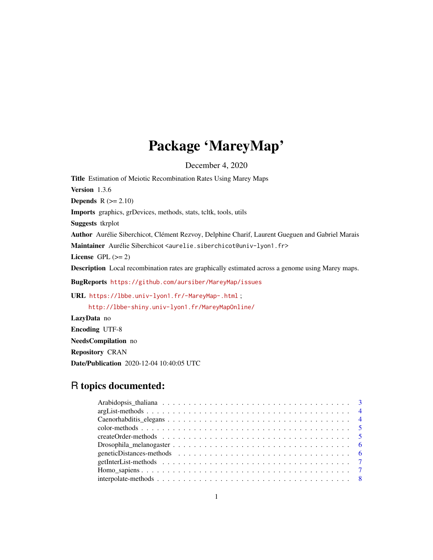# Package 'MareyMap'

December 4, 2020

<span id="page-0-0"></span>Title Estimation of Meiotic Recombination Rates Using Marey Maps Version 1.3.6 **Depends**  $R$  ( $>= 2.10$ ) Imports graphics, grDevices, methods, stats, tcltk, tools, utils Suggests tkrplot Author Aurélie Siberchicot, Clément Rezvoy, Delphine Charif, Laurent Gueguen and Gabriel Marais Maintainer Aurélie Siberchicot <aurelie.siberchicot@univ-lyon1.fr> License GPL  $(>= 2)$ Description Local recombination rates are graphically estimated across a genome using Marey maps. BugReports <https://github.com/aursiber/MareyMap/issues> URL <https://lbbe.univ-lyon1.fr/-MareyMap-.html> ; <http://lbbe-shiny.univ-lyon1.fr/MareyMapOnline/> LazyData no Encoding UTF-8 NeedsCompilation no

Repository CRAN

Date/Publication 2020-12-04 10:40:05 UTC

# R topics documented: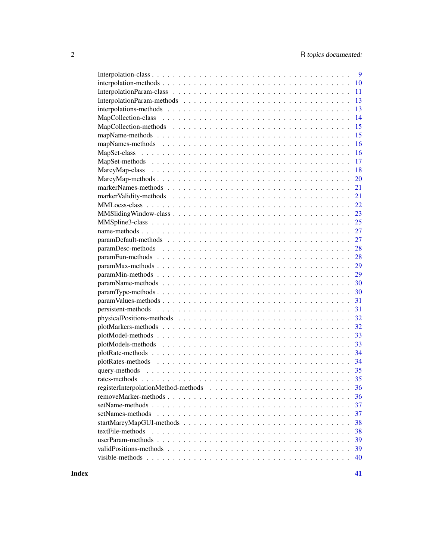| 9                      |
|------------------------|
| 10                     |
| 11                     |
| 13                     |
| 13                     |
| 14                     |
| 15                     |
| 15                     |
| 16                     |
| 16                     |
| 17                     |
| 18                     |
| 20                     |
| 21                     |
| 21                     |
| 22                     |
| 23                     |
| 25                     |
| 27                     |
| 27                     |
| 28                     |
| 28                     |
| 29                     |
| 29                     |
| 30                     |
| 30                     |
| 31                     |
| 31                     |
| 32                     |
| 32                     |
| 33                     |
| 33                     |
| 34                     |
| 34                     |
| 35                     |
| 35                     |
|                        |
| 36                     |
| 37                     |
| 37                     |
| 38                     |
| textFile-methods<br>38 |
| 39                     |
| 39                     |
| 40                     |
|                        |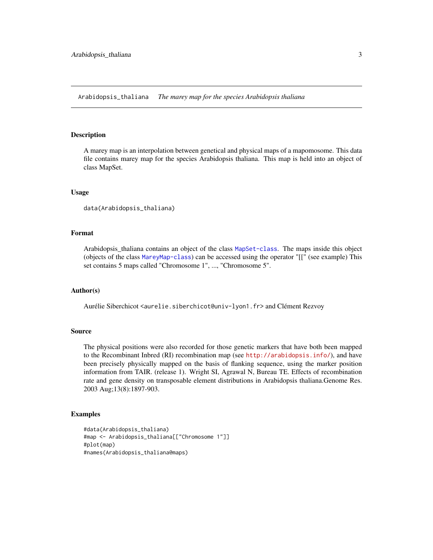<span id="page-2-0"></span>Arabidopsis\_thaliana *The marey map for the species Arabidopsis thaliana*

#### Description

A marey map is an interpolation between genetical and physical maps of a mapomosome. This data file contains marey map for the species Arabidopsis thaliana. This map is held into an object of class MapSet.

#### Usage

```
data(Arabidopsis_thaliana)
```
#### Format

Arabidopsis\_thaliana contains an object of the class [MapSet-class](#page-15-1). The maps inside this object (objects of the class [MareyMap-class](#page-17-1)) can be accessed using the operator "[[" (see example) This set contains 5 maps called "Chromosome 1", ..., "Chromosome 5".

#### Author(s)

Aurélie Siberchicot <aurelie.siberchicot@univ-lyon1.fr> and Clément Rezvoy

# Source

The physical positions were also recorded for those genetic markers that have both been mapped to the Recombinant Inbred (RI) recombination map (see <http://arabidopsis.info/>), and have been precisely physically mapped on the basis of flanking sequence, using the marker position information from TAIR. (release 1). Wright SI, Agrawal N, Bureau TE. Effects of recombination rate and gene density on transposable element distributions in Arabidopsis thaliana.Genome Res. 2003 Aug;13(8):1897-903.

#### Examples

```
#data(Arabidopsis_thaliana)
#map <- Arabidopsis_thaliana[["Chromosome 1"]]
#plot(map)
#names(Arabidopsis_thaliana@maps)
```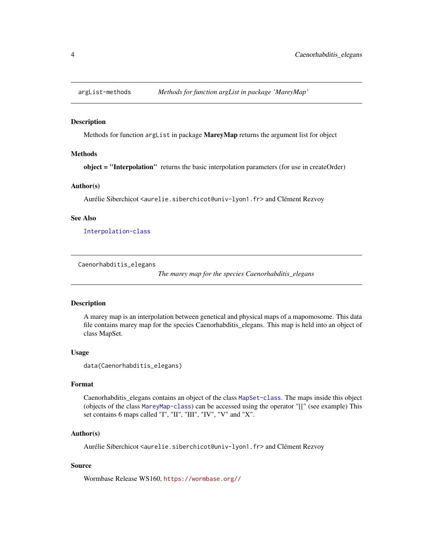<span id="page-3-0"></span>

#### Description

Methods for function arglist in package **MareyMap** returns the argument list for object

# **Methods**

object = "Interpolation" returns the basic interpolation parameters (for use in createOrder)

# Author(s)

Aurélie Siberchicot <aurelie.siberchicot@univ-lyon1.fr> and Clément Rezvoy

#### See Also

[Interpolation-class](#page-8-1)

Caenorhabditis\_elegans

*The marey map for the species Caenorhabditis\_elegans*

# Description

A marey map is an interpolation between genetical and physical maps of a mapomosome. This data file contains marey map for the species Caenorhabditis\_elegans. This map is held into an object of class MapSet.

#### Usage

data(Caenorhabditis\_elegans)

#### Format

Caenorhabditis\_elegans contains an object of the class [MapSet-class](#page-15-1). The maps inside this object (objects of the class [MareyMap-class](#page-17-1)) can be accessed using the operator "[[" (see example) This set contains 6 maps called "I", "II", "III", "IV", "V" and "X".

# Author(s)

Aurélie Siberchicot <aurelie.siberchicot@univ-lyon1.fr> and Clément Rezvoy

# Source

Wormbase Release WS160, <https://wormbase.org//>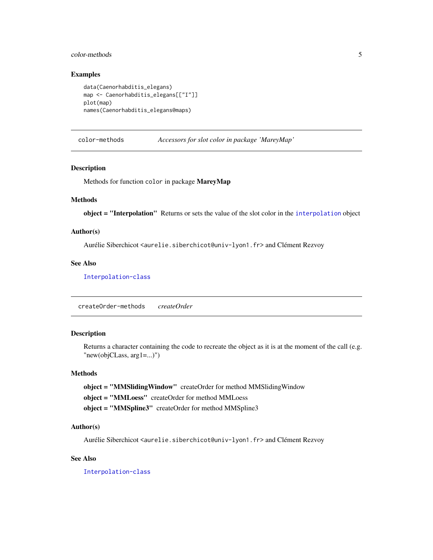# <span id="page-4-0"></span>color-methods 5

# Examples

```
data(Caenorhabditis_elegans)
map <- Caenorhabditis_elegans[["I"]]
plot(map)
names(Caenorhabditis_elegans@maps)
```
color-methods *Accessors for slot color in package 'MareyMap'*

#### Description

Methods for function color in package MareyMap

#### **Methods**

object = "Interpolation" Returns or sets the value of the slot color in the [interpolation](#page-9-1) object

# Author(s)

Aurélie Siberchicot <aurelie.siberchicot@univ-lyon1.fr> and Clément Rezvoy

#### See Also

[Interpolation-class](#page-8-1)

createOrder-methods *createOrder*

# Description

Returns a character containing the code to recreate the object as it is at the moment of the call (e.g. "new(objCLass, arg1=...)")

#### Methods

object = "MMSlidingWindow" createOrder for method MMSlidingWindow object = "MMLoess" createOrder for method MMLoess object = "MMSpline3" createOrder for method MMSpline3

# Author(s)

Aurélie Siberchicot <aurelie.siberchicot@univ-lyon1.fr> and Clément Rezvoy

# See Also

[Interpolation-class](#page-8-1)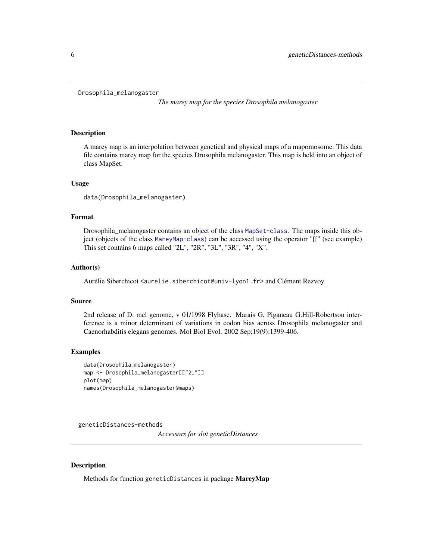```
Drosophila_melanogaster
```
*The marey map for the species Drosophila melanogaster*

# **Description**

A marey map is an interpolation between genetical and physical maps of a mapomosome. This data file contains marey map for the species Drosophila melanogaster. This map is held into an object of class MapSet.

#### Usage

data(Drosophila\_melanogaster)

# Format

Drosophila\_melanogaster contains an object of the class [MapSet-class](#page-15-1). The maps inside this object (objects of the class [MareyMap-class](#page-17-1)) can be accessed using the operator "[[" (see example) This set contains 6 maps called "2L", "2R", "3L", "3R", "4", "X".

# Author(s)

Aurélie Siberchicot <aurelie.siberchicot@univ-lyon1.fr> and Clément Rezvoy

#### Source

2nd release of D. mel genome, v 01/1998 Flybase. Marais G, Piganeau G.Hill-Robertson interference is a minor determinant of variations in codon bias across Drosophila melanogaster and Caenorhabditis elegans genomes. Mol Biol Evol. 2002 Sep;19(9):1399-406.

#### Examples

```
data(Drosophila_melanogaster)
map <- Drosophila_melanogaster[["2L"]]
plot(map)
names(Drosophila_melanogaster@maps)
```
geneticDistances-methods

*Accessors for slot geneticDistances*

# Description

Methods for function geneticDistances in package MareyMap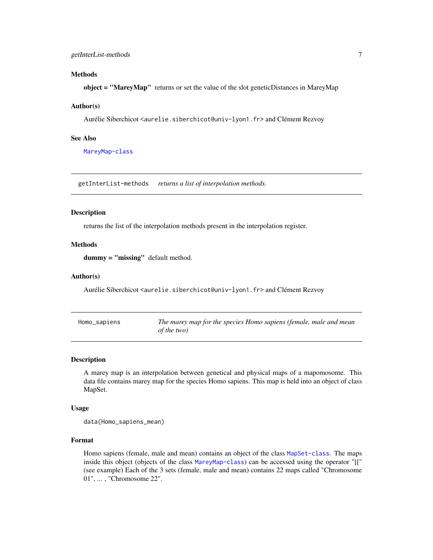# <span id="page-6-0"></span>getInterList-methods 7

#### Methods

object = "MareyMap" returns or set the value of the slot geneticDistances in MareyMap

#### Author(s)

Aurélie Siberchicot <aurelie.siberchicot@univ-lyon1.fr> and Clément Rezvoy

#### See Also

[MareyMap-class](#page-17-1)

getInterList-methods *returns a list of interpolation methods.*

#### Description

returns the list of the interpolation methods present in the interpolation register.

# Methods

dummy = "missing" default method.

# Author(s)

Aurélie Siberchicot <aurelie.siberchicot@univ-lyon1.fr> and Clément Rezvoy

| Homo_sapiens | The marey map for the species Homo sapiens (female, male and mean |
|--------------|-------------------------------------------------------------------|
|              | of the two)                                                       |

#### Description

A marey map is an interpolation between genetical and physical maps of a mapomosome. This data file contains marey map for the species Homo sapiens. This map is held into an object of class MapSet.

#### Usage

data(Homo\_sapiens\_mean)

# Format

Homo sapiens (female, male and mean) contains an object of the class [MapSet-class](#page-15-1). The maps inside this object (objects of the class [MareyMap-class](#page-17-1)) can be accessed using the operator "[[" (see example) Each of the 3 sets (female, male and mean) contains 22 maps called "Chromosome 01", ... , "Chromosome 22".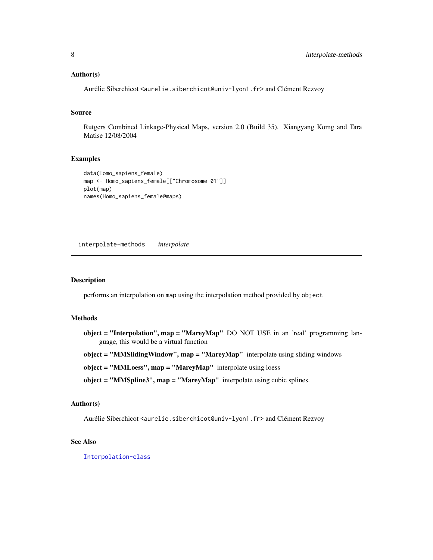#### <span id="page-7-0"></span>Author(s)

Aurélie Siberchicot <aurelie.siberchicot@univ-lyon1.fr> and Clément Rezvoy

# Source

Rutgers Combined Linkage-Physical Maps, version 2.0 (Build 35). Xiangyang Komg and Tara Matise 12/08/2004

#### Examples

```
data(Homo_sapiens_female)
map <- Homo_sapiens_female[["Chromosome 01"]]
plot(map)
names(Homo_sapiens_female@maps)
```
interpolate-methods *interpolate*

# Description

performs an interpolation on map using the interpolation method provided by object

#### Methods

object = "Interpolation", map = "MareyMap" DO NOT USE in an 'real' programming language, this would be a virtual function

object = "MMSlidingWindow", map = "MareyMap" interpolate using sliding windows

object = "MMLoess", map = "MareyMap" interpolate using loess

object = "MMSpline3", map = "MareyMap" interpolate using cubic splines.

# Author(s)

Aurélie Siberchicot <aurelie.siberchicot@univ-lyon1.fr> and Clément Rezvoy

# See Also

[Interpolation-class](#page-8-1)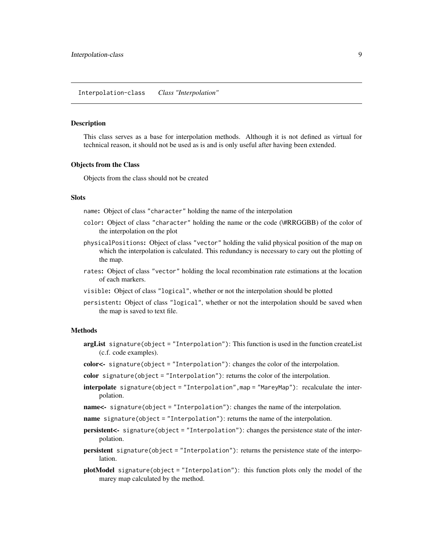#### <span id="page-8-2"></span><span id="page-8-1"></span><span id="page-8-0"></span>Description

This class serves as a base for interpolation methods. Although it is not defined as virtual for technical reason, it should not be used as is and is only useful after having been extended.

#### Objects from the Class

Objects from the class should not be created

#### **Slots**

name: Object of class "character" holding the name of the interpolation

- color: Object of class "character" holding the name or the code (\#RRGGBB) of the color of the interpolation on the plot
- physicalPositions: Object of class "vector" holding the valid physical position of the map on which the interpolation is calculated. This redundancy is necessary to cary out the plotting of the map.
- rates: Object of class "vector" holding the local recombination rate estimations at the location of each markers.
- visible: Object of class "logical", whether or not the interpolation should be plotted
- persistent: Object of class "logical", whether or not the interpolation should be saved when the map is saved to text file.

# Methods

- argList signature(object = "Interpolation"): This function is used in the function createList (c.f. code examples).
- color<- signature(object = "Interpolation"): changes the color of the interpolation.
- color signature(object = "Interpolation"): returns the color of the interpolation.
- interpolate signature(object = "Interpolation",map = "MareyMap"): recalculate the interpolation.
- name<- signature(object = "Interpolation"): changes the name of the interpolation.
- name signature(object = "Interpolation"): returns the name of the interpolation.
- persistent<- signature(object = "Interpolation"): changes the persistence state of the interpolation.
- persistent signature(object = "Interpolation"): returns the persistence state of the interpolation.
- plotModel signature(object = "Interpolation"): this function plots only the model of the marey map calculated by the method.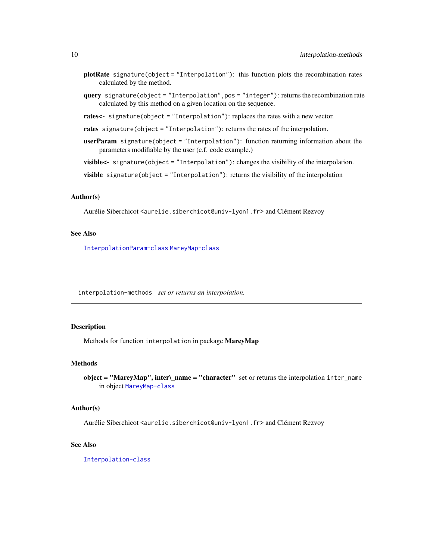- <span id="page-9-0"></span>plotRate signature(object = "Interpolation"): this function plots the recombination rates calculated by the method.
- query signature(object = "Interpolation",pos = "integer"): returns the recombination rate calculated by this method on a given location on the sequence.

rates<- signature(object = "Interpolation"): replaces the rates with a new vector.

- rates signature(object = "Interpolation"): returns the rates of the interpolation.
- userParam signature(object = "Interpolation"): function returning information about the parameters modifiable by the user (c.f. code example.)

visible<- signature(object = "Interpolation"): changes the visibility of the interpolation.

visible signature(object = "Interpolation"): returns the visibility of the interpolation

# Author(s)

Aurélie Siberchicot <aurelie.siberchicot@univ-lyon1.fr> and Clément Rezvoy

# See Also

[InterpolationParam-class](#page-10-1) [MareyMap-class](#page-17-1)

interpolation-methods *set or returns an interpolation.*

# <span id="page-9-1"></span>Description

Methods for function interpolation in package MareyMap

#### Methods

```
object = "MareyMap", inter\_name = "character" set or returns the interpolation inter_namein object MareyMap-class
```
#### Author(s)

Aurélie Siberchicot <aurelie.siberchicot@univ-lyon1.fr> and Clément Rezvoy

#### See Also

[Interpolation-class](#page-8-1)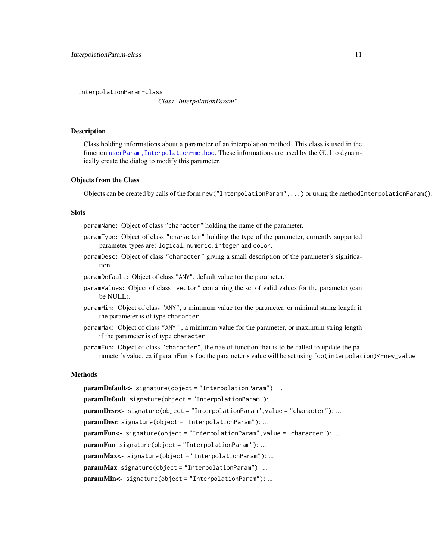<span id="page-10-1"></span><span id="page-10-0"></span>InterpolationParam-class

*Class "InterpolationParam"*

#### <span id="page-10-2"></span>**Description**

Class holding informations about a parameter of an interpolation method. This class is used in the function [userParam,Interpolation-method](#page-0-0). These informations are used by the GUI to dynamically create the dialog to modify this parameter.

#### Objects from the Class

Objects can be created by calls of the form new("InterpolationParam",...) or using the methodInterpolationParam().

#### **Slots**

paramName: Object of class "character" holding the name of the parameter.

- paramType: Object of class "character" holding the type of the parameter, currently supported parameter types are: logical, numeric, integer and color.
- paramDesc: Object of class "character" giving a small description of the parameter's signification.

paramDefault: Object of class "ANY", default value for the parameter.

- paramValues: Object of class "vector" containing the set of valid values for the parameter (can be NULL).
- paramMin: Object of class "ANY", a minimum value for the parameter, or minimal string length if the parameter is of type character
- paramMax: Object of class "ANY" , a minimum value for the parameter, or maximum string length if the parameter is of type character
- paramFun: Object of class "character", the nae of function that is to be called to update the parameter's value. ex if paramFun is foo the parameter's value will be set using foo(interpolation)<-new\_value

#### Methods

paramDefault<- signature(object = "InterpolationParam"): ... paramDefault signature(object = "InterpolationParam"): ... paramDesc<- signature(object = "InterpolationParam", value = "character"): ... paramDesc signature(object = "InterpolationParam"): ... paramFun<- signature(object = "InterpolationParam", value = "character"): ... paramFun signature(object = "InterpolationParam"): ... paramMax<- signature(object = "InterpolationParam"): ... paramMax signature(object = "InterpolationParam"): ... paramMin<- signature(object = "InterpolationParam"): ...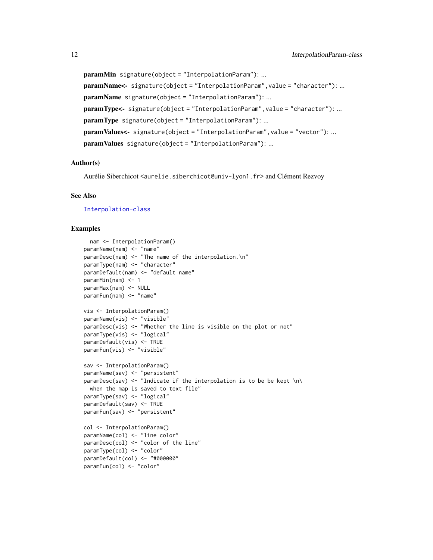paramMin signature(object = "InterpolationParam"): ... paramName<- signature(object = "InterpolationParam", value = "character"): ... paramName signature(object = "InterpolationParam"): ... paramType<- signature(object = "InterpolationParam", value = "character"): ... paramType signature(object = "InterpolationParam"): ... paramValues<- signature(object = "InterpolationParam", value = "vector"): ... paramValues signature(object = "InterpolationParam"): ...

#### Author(s)

Aurélie Siberchicot <aurelie.siberchicot@univ-lyon1.fr> and Clément Rezvoy

#### See Also

[Interpolation-class](#page-8-1)

#### Examples

```
nam <- InterpolationParam()
paramName(nam) <- "name"
paramDesc(nam) <- "The name of the interpolation.\n"
paramType(nam) <- "character"
paramDefault(nam) <- "default name"
paramMin(nam) <- 1
paramMax(nam) <- NULL
paramFun(nam) <- "name"
vis <- InterpolationParam()
paramName(vis) <- "visible"
paramDesc(vis) <- "Whether the line is visible on the plot or not"
paramType(vis) <- "logical"
paramDefault(vis) <- TRUE
paramFun(vis) <- "visible"
sav <- InterpolationParam()
paramName(sav) <- "persistent"
paramDesc(sav) <- "Indicate if the interpolation is to be be kept \n\
  when the map is saved to text file"
paramType(sav) <- "logical"
paramDefault(sav) <- TRUE
paramFun(sav) <- "persistent"
col <- InterpolationParam()
paramName(col) <- "line color"
paramDesc(col) <- "color of the line"
paramType(col) <- "color"
paramDefault(col) <- "#000000"
paramFun(col) <- "color"
```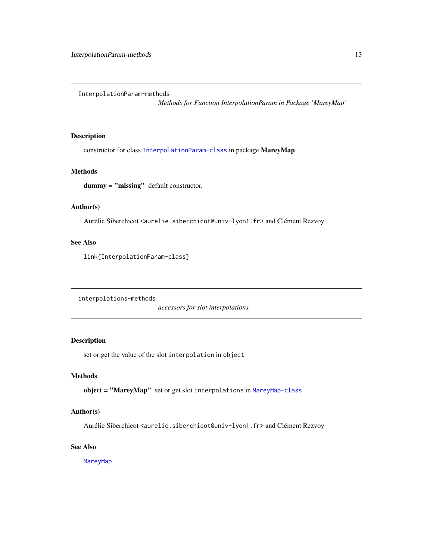<span id="page-12-0"></span>InterpolationParam-methods

*Methods for Function InterpolationParam in Package 'MareyMap'*

# Description

constructor for class [InterpolationParam-class](#page-10-1) in package MareyMap

# Methods

dummy = "missing" default constructor.

# Author(s)

Aurélie Siberchicot <aurelie.siberchicot@univ-lyon1.fr> and Clément Rezvoy

# See Also

link{InterpolationParam-class}

interpolations-methods

*accessors for slot interpolations*

# Description

set or get the value of the slot interpolation in object

# Methods

object = "MareyMap" set or get slot interpolations in [MareyMap-class](#page-17-1)

# Author(s)

Aurélie Siberchicot <aurelie.siberchicot@univ-lyon1.fr> and Clément Rezvoy

# See Also

[MareyMap](#page-17-2)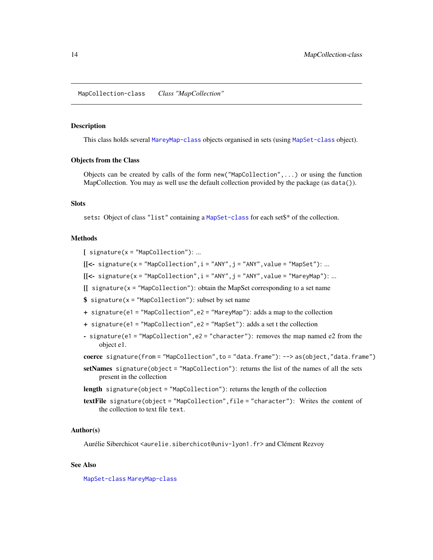#### <span id="page-13-2"></span><span id="page-13-1"></span><span id="page-13-0"></span>Description

This class holds several [MareyMap-class](#page-17-1) objects organised in sets (using [MapSet-class](#page-15-1) object).

#### Objects from the Class

Objects can be created by calls of the form new("MapCollection",...) or using the function MapCollection. You may as well use the default collection provided by the package (as data()).

#### **Slots**

sets: Object of class "list" containing a [MapSet-class](#page-15-1) for each set\$\* of the collection.

# Methods

 $[$  signature(x = "MapCollection"): ...

 $[[\leftarrow$  signature(x = "MapCollection", i = "ANY", j = "ANY", value = "MapSet"): ...

 $[[\leftarrow$  signature(x = "MapCollection", i = "ANY", j = "ANY", value = "MareyMap"): ...

 $\left[ \right]$  signature(x = "MapCollection"): obtain the MapSet corresponding to a set name

- $$ signal = "MapCollection": subset by set name$
- + signature(e1 = "MapCollection",e2 = "MareyMap"): adds a map to the collection
- + signature(e1 = "MapCollection",e2 = "MapSet"): adds a set t the collection
- signature(e1 = "MapCollection",e2 = "character"): removes the map named e2 from the object e1.

coerce signature(from = "MapCollection",to = "data.frame"): --> as(object,"data.frame")

setNames signature(object = "MapCollection"): returns the list of the names of all the sets present in the collection

length signature(object = "MapCollection"): returns the length of the collection

textFile signature(object = "MapCollection",file = "character"): Writes the content of the collection to text file text.

#### Author(s)

Aurélie Siberchicot <aurelie.siberchicot@univ-lyon1.fr> and Clément Rezvoy

# See Also

[MapSet-class](#page-15-1) [MareyMap-class](#page-17-1)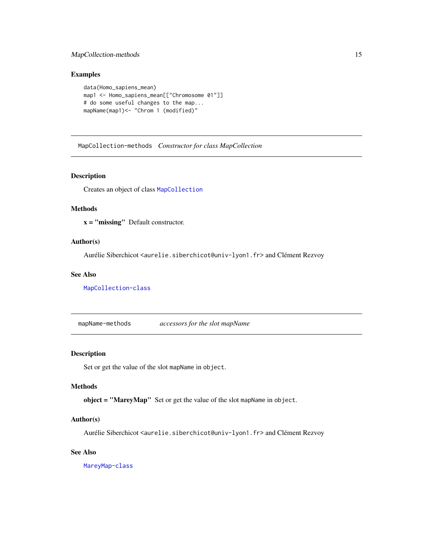# <span id="page-14-0"></span>MapCollection-methods 15

# Examples

```
data(Homo_sapiens_mean)
map1 <- Homo_sapiens_mean[["Chromosome 01"]]
# do some useful changes to the map...
mapName(map1) <- "Chrom 1 (modified)"
```
MapCollection-methods *Constructor for class MapCollection*

# Description

Creates an object of class [MapCollection](#page-13-1)

#### Methods

x = "missing" Default constructor.

# Author(s)

Aurélie Siberchicot <aurelie.siberchicot@univ-lyon1.fr> and Clément Rezvoy

#### See Also

[MapCollection-class](#page-13-2)

mapName-methods *accessors for the slot mapName*

# Description

Set or get the value of the slot mapName in object.

#### Methods

object = "MareyMap" Set or get the value of the slot mapName in object.

# Author(s)

Aurélie Siberchicot <aurelie.siberchicot@univ-lyon1.fr> and Clément Rezvoy

# See Also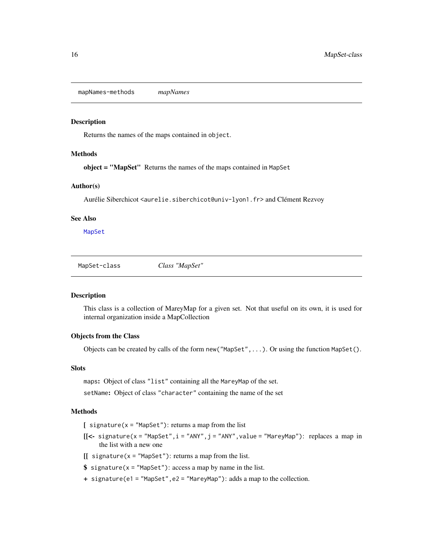<span id="page-15-0"></span>mapNames-methods *mapNames*

#### Description

Returns the names of the maps contained in object.

#### Methods

object = "MapSet" Returns the names of the maps contained in MapSet

# Author(s)

Aurélie Siberchicot <aurelie.siberchicot@univ-lyon1.fr> and Clément Rezvoy

#### See Also

[MapSet](#page-15-2)

<span id="page-15-1"></span>MapSet-class *Class "MapSet"*

# <span id="page-15-2"></span>Description

This class is a collection of MareyMap for a given set. Not that useful on its own, it is used for internal organization inside a MapCollection

#### Objects from the Class

Objects can be created by calls of the form new("MapSet",...). Or using the function MapSet().

#### Slots

maps: Object of class "list" containing all the MareyMap of the set.

setName: Object of class "character" containing the name of the set

# Methods

 $[$  signature(x = "MapSet"): returns a map from the list

- $[[\leftarrow$  signature(x = "MapSet", i = "ANY", j = "ANY", value = "MareyMap"): replaces a map in the list with a new one
- $[[$  signature(x = "MapSet"): returns a map from the list.
- $$ signalure(x = "MapSet"): access a map by name in the list.$
- + signature(e1 = "MapSet",e2 = "MareyMap"): adds a map to the collection.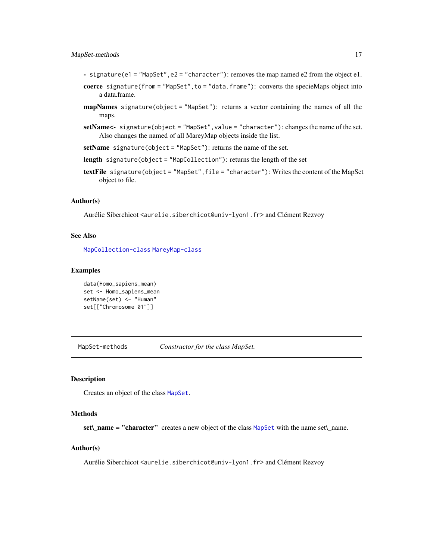# <span id="page-16-0"></span>MapSet-methods 17

- signature(e1 = "MapSet",e2 = "character"): removes the map named e2 from the object e1.
- coerce signature(from = "MapSet", to = "data.frame"): converts the specieMaps object into a data.frame.
- mapNames signature(object = "MapSet"): returns a vector containing the names of all the maps.
- setName<- signature(object = "MapSet", value = "character"): changes the name of the set. Also changes the named of all MareyMap objects inside the list.
- setName signature(object = "MapSet"): returns the name of the set.
- length signature(object = "MapCollection"): returns the length of the set
- textFile signature(object = "MapSet",file = "character"): Writes the content of the MapSet object to file.

## Author(s)

Aurélie Siberchicot <aurelie.siberchicot@univ-lyon1.fr> and Clément Rezvoy

#### See Also

[MapCollection-class](#page-13-2) [MareyMap-class](#page-17-1)

#### Examples

```
data(Homo_sapiens_mean)
set <- Homo_sapiens_mean
setName(set) <- "Human"
set[["Chromosome 01"]]
```
MapSet-methods *Constructor for the class MapSet.*

#### **Description**

Creates an object of the class [MapSet](#page-15-2).

# Methods

set\\_name = "character" creates a new object of the class [MapSet](#page-15-2) with the name set\\_name.

# Author(s)

Aurélie Siberchicot <aurelie.siberchicot@univ-lyon1.fr> and Clément Rezvoy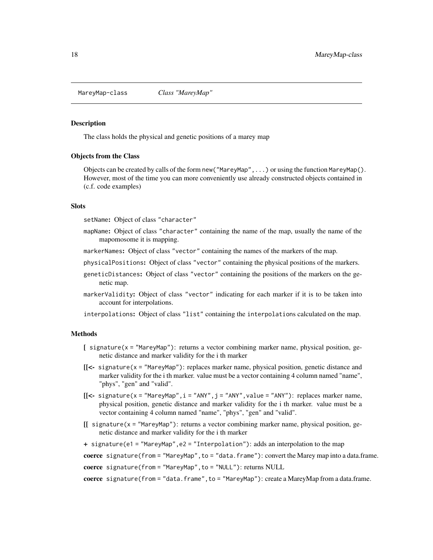<span id="page-17-1"></span><span id="page-17-0"></span>MareyMap-class *Class "MareyMap"*

#### <span id="page-17-2"></span>Description

The class holds the physical and genetic positions of a marey map

#### Objects from the Class

Objects can be created by calls of the form new ("MareyMap", ...) or using the function MareyMap(). However, most of the time you can more conveniently use already constructed objects contained in (c.f. code examples)

# **Slots**

setName: Object of class "character"

- mapName: Object of class "character" containing the name of the map, usually the name of the mapomosome it is mapping.
- markerNames: Object of class "vector" containing the names of the markers of the map.
- physicalPositions: Object of class "vector" containing the physical positions of the markers.
- geneticDistances: Object of class "vector" containing the positions of the markers on the genetic map.
- markerValidity: Object of class "vector" indicating for each marker if it is to be taken into account for interpolations.

interpolations: Object of class "list" containing the interpolations calculated on the map.

#### Methods

- $\int$  signature(x = "MareyMap"): returns a vector combining marker name, physical position, genetic distance and marker validity for the i th marker
- $[$ [<- signature(x = "MareyMap"): replaces marker name, physical position, genetic distance and marker validity for the i th marker. value must be a vector containing 4 column named "name", "phys", "gen" and "valid".
- $[$ [<- signature(x = "MareyMap", i = "ANY", j = "ANY", value = "ANY"): replaces marker name, physical position, genetic distance and marker validity for the i th marker. value must be a vector containing 4 column named "name", "phys", "gen" and "valid".
- [[ signature(x = "MareyMap"): returns a vector combining marker name, physical position, genetic distance and marker validity for the i th marker
- + signature(e1 = "MareyMap",e2 = "Interpolation"): adds an interpolation to the map

coerce signature(from = "MareyMap", to = "data.frame"): convert the Marey map into a data.frame.

coerce signature(from = "MareyMap", to = "NULL"): returns NULL

coerce signature(from = "data.frame", to = "MareyMap"): create a MareyMap from a data.frame.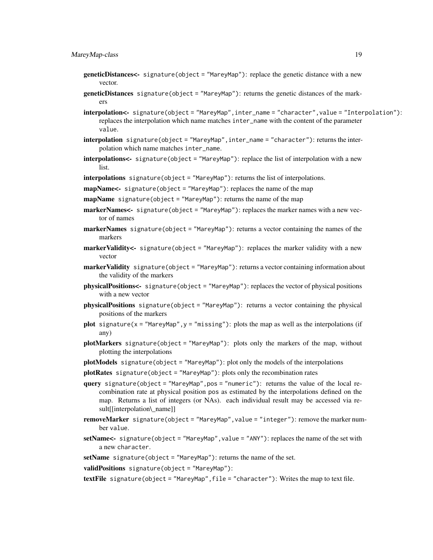- geneticDistances<- signature(object = "MareyMap"): replace the genetic distance with a new vector.
- geneticDistances signature(object = "MareyMap"): returns the genetic distances of the markers
- interpolation<- signature(object = "MareyMap",inter\_name = "character",value = "Interpolation"): replaces the interpolation which name matches inter\_name with the content of the parameter value.
- interpolation signature(object = "MareyMap",inter\_name = "character"): returns the interpolation which name matches inter\_name.
- interpolations<- signature(object = "MareyMap"): replace the list of interpolation with a new list.
- interpolations signature(object = "MareyMap"): returns the list of interpolations.
- mapName<- signature(object = "MareyMap"): replaces the name of the map
- mapName signature(object = "MareyMap"): returns the name of the map
- markerNames<- signature(object = "MareyMap"): replaces the marker names with a new vector of names
- markerNames signature(object = "MareyMap"): returns a vector containing the names of the markers
- markerValidity<- signature(object = "MareyMap"): replaces the marker validity with a new vector
- markerValidity signature(object = "MareyMap"): returns a vector containing information about the validity of the markers
- physicalPositions<- signature(object = "MareyMap"): replaces the vector of physical positions with a new vector
- physicalPositions signature(object = "MareyMap"): returns a vector containing the physical positions of the markers
- plot signature(x = "MareyMap", y = "missing"): plots the map as well as the interpolations (if any)
- plotMarkers signature(object = "MareyMap"): plots only the markers of the map, without plotting the interpolations
- plotModels signature(object = "MareyMap"): plot only the models of the interpolations
- plotRates signature(object = "MareyMap"): plots only the recombination rates
- query signature(object = "MareyMap",pos = "numeric"): returns the value of the local recombination rate at physical position pos as estimated by the interpolations defined on the map. Returns a list of integers (or NAs). each individual result may be accessed via result[[interpolation\\_name]]
- removeMarker signature(object = "MareyMap", value = "integer"): remove the marker number value.
- setName<- signature(object = "MareyMap", value = "ANY"): replaces the name of the set with a new character.
- setName signature(object = "MareyMap"): returns the name of the set.
- validPositions signature(object = "MareyMap"):

textFile signature(object = "MareyMap",file = "character"): Writes the map to text file.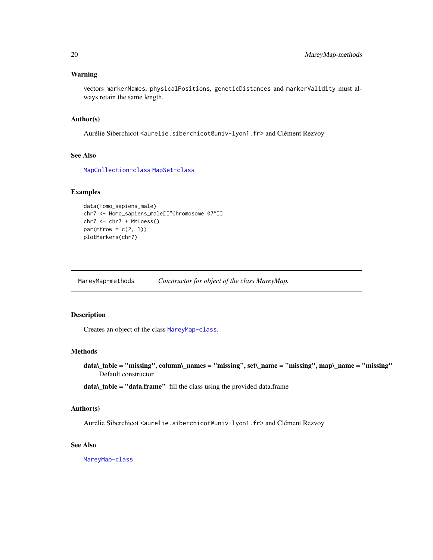# <span id="page-19-0"></span>Warning

vectors markerNames, physicalPositions, geneticDistances and markerValidity must always retain the same length.

#### Author(s)

Aurélie Siberchicot <aurelie.siberchicot@univ-lyon1.fr> and Clément Rezvoy

# See Also

[MapCollection-class](#page-13-2) [MapSet-class](#page-15-1)

# Examples

```
data(Homo_sapiens_male)
chr7 <- Homo_sapiens_male[["Chromosome 07"]]
chr7 <- chr7 + MMLoess()
par(mfrow = c(2, 1))plotMarkers(chr7)
```
MareyMap-methods *Constructor for object of the class MareyMap.*

# Description

Creates an object of the class [MareyMap-class](#page-17-1).

#### Methods

data\\_table = "missing", column\\_names = "missing", set\\_name = "missing", map\\_name = "missing" Default constructor

data\\_table = "data.frame" fill the class using the provided data.frame

# Author(s)

Aurélie Siberchicot <aurelie.siberchicot@univ-lyon1.fr> and Clément Rezvoy

#### See Also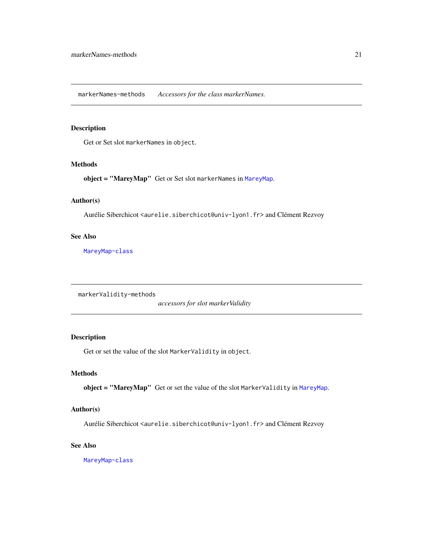<span id="page-20-0"></span>markerNames-methods *Accessors for the class markerNames.*

# Description

Get or Set slot markerNames in object.

#### Methods

object = "MareyMap" Get or Set slot markerNames in [MareyMap](#page-17-2).

#### Author(s)

Aurélie Siberchicot <aurelie.siberchicot@univ-lyon1.fr> and Clément Rezvoy

# See Also

[MareyMap-class](#page-17-1)

markerValidity-methods

*accessors for slot markerValidity*

# Description

Get or set the value of the slot MarkerValidity in object.

# Methods

object = "MareyMap" Get or set the value of the slot MarkerValidity in [MareyMap](#page-17-2).

# Author(s)

Aurélie Siberchicot <aurelie.siberchicot@univ-lyon1.fr> and Clément Rezvoy

#### See Also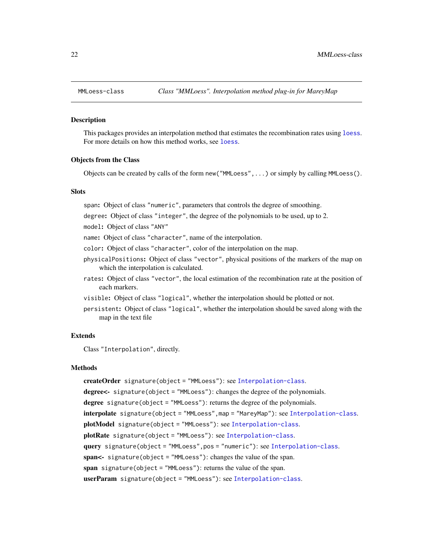<span id="page-21-0"></span>

#### **Description**

This packages provides an interpolation method that estimates the recombination rates using [loess](#page-0-0). For more details on how this method works, see [loess](#page-0-0).

#### Objects from the Class

Objects can be created by calls of the form new("MMLoess",...) or simply by calling MMLoess().

#### **Slots**

span: Object of class "numeric", parameters that controls the degree of smoothing.

degree: Object of class "integer", the degree of the polynomials to be used, up to 2.

model: Object of class "ANY"

name: Object of class "character", name of the interpolation.

color: Object of class "character", color of the interpolation on the map.

- physicalPositions: Object of class "vector", physical positions of the markers of the map on which the interpolation is calculated.
- rates: Object of class "vector", the local estimation of the recombination rate at the position of each markers.
- visible: Object of class "logical", whether the interpolation should be plotted or not.
- persistent: Object of class "logical", whether the interpolation should be saved along with the map in the text file

#### Extends

Class "Interpolation", directly.

#### Methods

createOrder signature(object = "MMLoess"): see [Interpolation-class](#page-8-1). degree<- signature(object = "MMLoess"): changes the degree of the polynomials. degree signature(object = "MMLoess"): returns the degree of the polynomials. interpolate signature(object = "MMLoess",map = "MareyMap"): see [Interpolation-class](#page-8-1). plotModel signature(object = "MMLoess"): see [Interpolation-class](#page-8-1). plotRate signature(object = "MMLoess"): see [Interpolation-class](#page-8-1). query signature(object = "MMLoess",pos = "numeric"): see [Interpolation-class](#page-8-1). span<- signature(object = "MMLoess"): changes the value of the span. span signature(object = "MMLoess"): returns the value of the span. userParam signature(object = "MMLoess"): see [Interpolation-class](#page-8-1).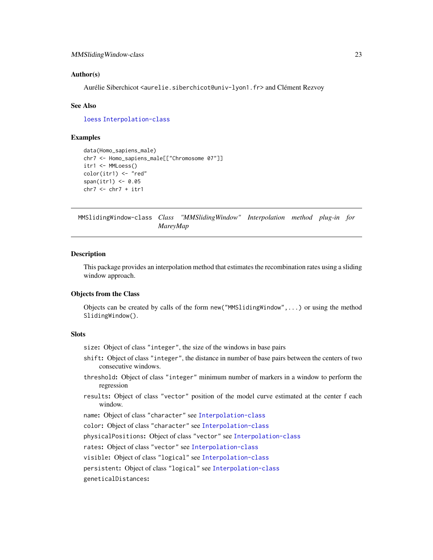#### <span id="page-22-0"></span>Author(s)

Aurélie Siberchicot <aurelie.siberchicot@univ-lyon1.fr> and Clément Rezvoy

#### See Also

[loess](#page-0-0) [Interpolation-class](#page-8-1)

# Examples

```
data(Homo_sapiens_male)
chr7 <- Homo_sapiens_male[["Chromosome 07"]]
itr1 <- MMLoess()
color(itr1) <- "red"
span(itr1) <-0.05chr7 < - chr7 + itr1
```
MMSlidingWindow-class *Class "MMSlidingWindow" Interpolation method plug-in for MareyMap*

#### **Description**

This package provides an interpolation method that estimates the recombination rates using a sliding window approach.

# Objects from the Class

Objects can be created by calls of the form new("MMSlidingWindow",...) or using the method SlidingWindow().

# **Slots**

size: Object of class "integer", the size of the windows in base pairs

- shift: Object of class "integer", the distance in number of base pairs between the centers of two consecutive windows.
- threshold: Object of class "integer" minimum number of markers in a window to perform the regression
- results: Object of class "vector" position of the model curve estimated at the center f each window.

name: Object of class "character" see [Interpolation-class](#page-8-1)

color: Object of class "character" see [Interpolation-class](#page-8-1)

physicalPositions: Object of class "vector" see [Interpolation-class](#page-8-1)

rates: Object of class "vector" see [Interpolation-class](#page-8-1)

visible: Object of class "logical" see [Interpolation-class](#page-8-1)

persistent: Object of class "logical" see [Interpolation-class](#page-8-1)

geneticalDistances: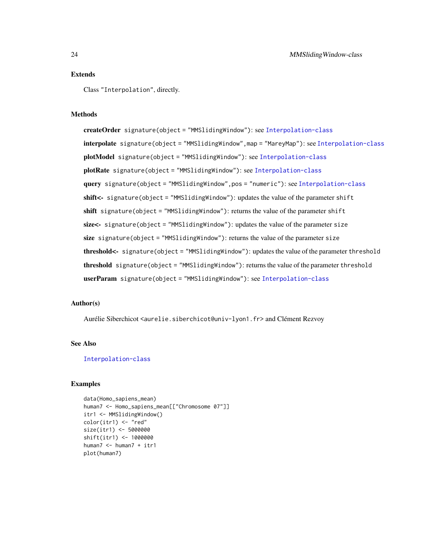# Extends

Class "Interpolation", directly.

# Methods

createOrder signature(object = "MMSlidingWindow"): see [Interpolation-class](#page-8-1) interpolate signature(object = "MMSlidingWindow",map = "MareyMap"): see [Interpolation-class](#page-8-1) plotModel signature(object = "MMSlidingWindow"): see [Interpolation-class](#page-8-1) plotRate signature(object = "MMSlidingWindow"): see [Interpolation-class](#page-8-1) query signature(object = "MMSlidingWindow",pos = "numeric"): see [Interpolation-class](#page-8-1) shift<- signature(object = "MMSlidingWindow"): updates the value of the parameter shift shift signature(object = "MMSlidingWindow"): returns the value of the parameter shift size<- signature(object = "MMSlidingWindow"): updates the value of the parameter size size signature(object = "MMSlidingWindow"): returns the value of the parameter size threshold<- signature(object = "MMSlidingWindow"): updates the value of the parameter threshold threshold signature(object = "MMSlidingWindow"): returns the value of the parameter threshold userParam signature(object = "MMSlidingWindow"): see [Interpolation-class](#page-8-1)

# Author(s)

Aurélie Siberchicot <aurelie.siberchicot@univ-lyon1.fr> and Clément Rezvoy

#### See Also

#### [Interpolation-class](#page-8-1)

#### Examples

```
data(Homo_sapiens_mean)
human7 <- Homo_sapiens_mean[["Chromosome 07"]]
itr1 <- MMSlidingWindow()
color(int1) < - "red"
size(itr1) <- 5000000
shift(itr1) <- 1000000
human7 <- human7 + itr1
plot(human7)
```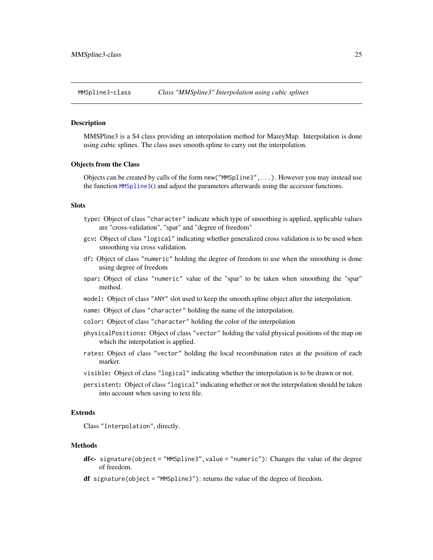<span id="page-24-0"></span>MMSpline3-class *Class "MMSpline3" Interpolation using cubic splines*

#### <span id="page-24-1"></span>Description

MMSPline3 is a S4 class providing an interpolation method for MareyMap. Interpolation is done using cubic splines. The class uses smooth.spline to carry out the interpolation.

#### Objects from the Class

Objects can be created by calls of the form new("MMSpline3",...). However you may instead use the function [MMSpline3](#page-24-1)() and adjust the parameters afterwards using the accessor functions.

# **Slots**

- type: Object of class "character" indicate which type of smoothing is applied, applicable values are "cross-validation", "spar" and "degree of freedom"
- gcv: Object of class "logical" indicating whether generalized cross validation is to be used when smoothing via cross validation.
- df: Object of class "numeric" holding the degree of freedom to use when the smoothing is done using degree of freedom
- spar: Object of class "numeric" value of the "spar" to be taken when smoothing the "spar" method.
- model: Object of class "ANY" slot used to keep the smooth.spline object after the interpolation.
- name: Object of class "character" holding the name of the interpolation.
- color: Object of class "character" holding the color of the interpolation
- physicalPositions: Object of class "vector" holding the valid physical positions of the map on which the interpolation is applied.
- rates: Object of class "vector" holding the local recombination rates at the position of each marker.
- visible: Object of class "logical" indicating whether the interpolation is to be drawn or not.
- persistent: Object of class "logical" indicating whether or not the interpolation should be taken into account when saving to text file.

# Extends

Class "Interpolation", directly.

#### Methods

- df<- signature(object = "MMSpline3", value = "numeric"): Changes the value of the degree of freedom.
- df signature(object = "MMSpline3"): returns the value of the degree of freedom.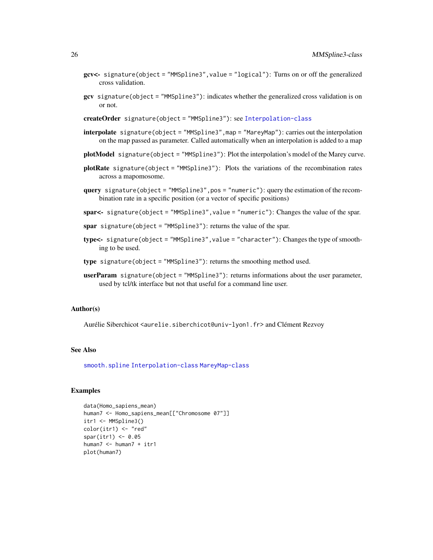- <span id="page-25-0"></span>gcv<- signature(object = "MMSpline3",value = "logical"): Turns on or off the generalized cross validation.
- gcv signature(object = "MMSpline3"): indicates whether the generalized cross validation is on or not.

createOrder signature(object = "MMSpline3"): see [Interpolation-class](#page-8-1)

- interpolate signature(object = "MMSpline3",map = "MareyMap"): carries out the interpolation on the map passed as parameter. Called automatically when an interpolation is added to a map
- plotModel signature(object = "MMSpline3"): Plot the interpolation's model of the Marey curve.
- plotRate signature(object = "MMSpline3"): Plots the variations of the recombination rates across a mapomosome.
- query signature(object = "MMSpline3",pos = "numeric"): query the estimation of the recombination rate in a specific position (or a vector of specific positions)
- spar<- signature(object = "MMSpline3", value = "numeric"): Changes the value of the spar.
- spar signature(object = "MMSpline3"): returns the value of the spar.
- type<- signature(object = "MMSpline3", value = "character"): Changes the type of smoothing to be used.
- type signature(object = "MMSpline3"): returns the smoothing method used.
- userParam signature(object = "MMSpline3"): returns informations about the user parameter, used by tcl/tk interface but not that useful for a command line user.

#### Author(s)

Aurélie Siberchicot <aurelie.siberchicot@univ-lyon1.fr> and Clément Rezvoy

### See Also

[smooth.spline](#page-0-0) [Interpolation-class](#page-8-1) [MareyMap-class](#page-17-1)

#### Examples

```
data(Homo_sapiens_mean)
human7 <- Homo_sapiens_mean[["Chromosome 07"]]
itr1 <- MMSpline3()
color(itr1) < - "red"
spar(itr1) < -0.05human7 <- human7 + itr1
plot(human7)
```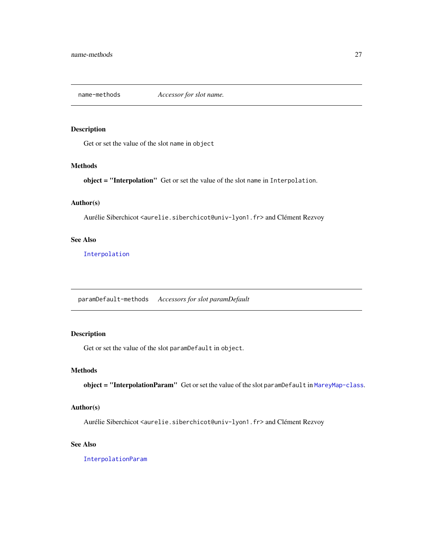<span id="page-26-0"></span>name-methods *Accessor for slot name.*

# Description

Get or set the value of the slot name in object

#### Methods

object = "Interpolation" Get or set the value of the slot name in Interpolation.

# Author(s)

Aurélie Siberchicot <aurelie.siberchicot@univ-lyon1.fr> and Clément Rezvoy

# See Also

[Interpolation](#page-8-2)

paramDefault-methods *Accessors for slot paramDefault*

# Description

Get or set the value of the slot paramDefault in object.

# Methods

object = "InterpolationParam" Get or set the value of the slot paramDefault in [MareyMap-class](#page-17-1).

# Author(s)

Aurélie Siberchicot <aurelie.siberchicot@univ-lyon1.fr> and Clément Rezvoy

# See Also

[InterpolationParam](#page-10-2)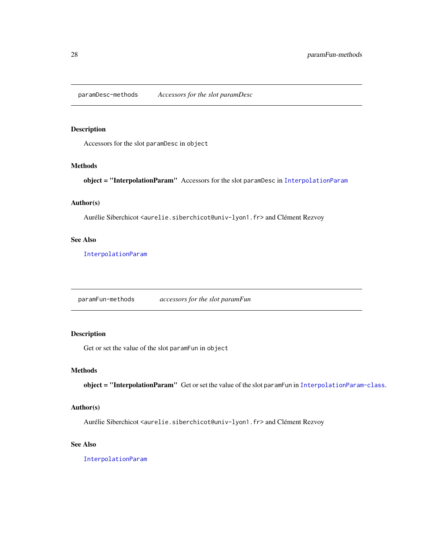<span id="page-27-0"></span>paramDesc-methods *Accessors for the slot paramDesc*

# Description

Accessors for the slot paramDesc in object

#### Methods

object = "InterpolationParam" Accessors for the slot paramDesc in [InterpolationParam](#page-10-2)

# Author(s)

Aurélie Siberchicot <aurelie.siberchicot@univ-lyon1.fr> and Clément Rezvoy

# See Also

[InterpolationParam](#page-10-2)

paramFun-methods *accessors for the slot paramFun*

# Description

Get or set the value of the slot paramFun in object

# Methods

object = "InterpolationParam" Get or set the value of the slot paramFun in [InterpolationParam-class](#page-10-1).

# Author(s)

Aurélie Siberchicot <aurelie.siberchicot@univ-lyon1.fr> and Clément Rezvoy

# See Also

[InterpolationParam](#page-10-2)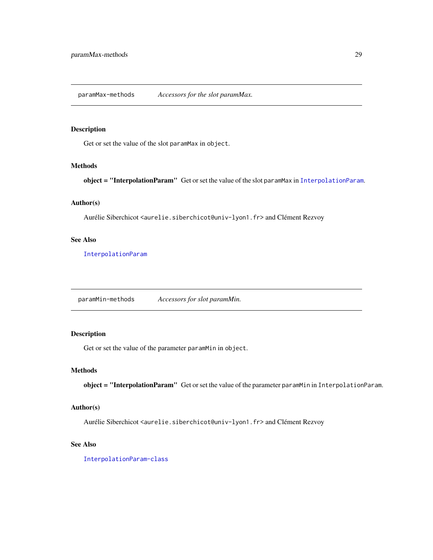<span id="page-28-0"></span>paramMax-methods *Accessors for the slot paramMax.*

# Description

Get or set the value of the slot paramMax in object.

#### Methods

object = "InterpolationParam" Get or set the value of the slot paramMax in [InterpolationParam](#page-10-2).

# Author(s)

Aurélie Siberchicot <aurelie.siberchicot@univ-lyon1.fr> and Clément Rezvoy

# See Also

[InterpolationParam](#page-10-2)

paramMin-methods *Accessors for slot paramMin.*

# Description

Get or set the value of the parameter paramMin in object.

# Methods

object = "InterpolationParam" Get or set the value of the parameter paramMin in InterpolationParam.

# Author(s)

Aurélie Siberchicot <aurelie.siberchicot@univ-lyon1.fr> and Clément Rezvoy

#### See Also

[InterpolationParam-class](#page-10-1)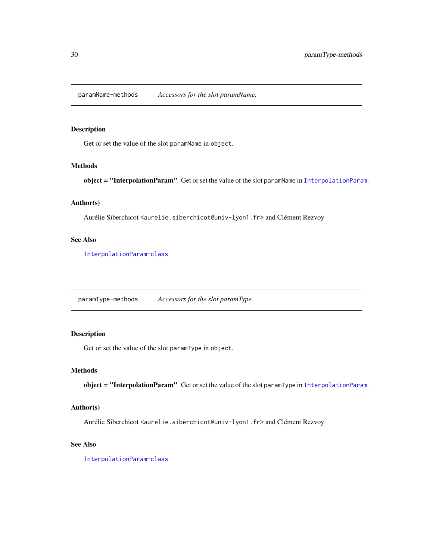<span id="page-29-0"></span>paramName-methods *Accessors for the slot paramName.*

# Description

Get or set the value of the slot paramName in object.

#### Methods

object = "[InterpolationParam](#page-10-2)" Get or set the value of the slot paramName in InterpolationParam.

# Author(s)

Aurélie Siberchicot <aurelie.siberchicot@univ-lyon1.fr> and Clément Rezvoy

# See Also

[InterpolationParam-class](#page-10-1)

paramType-methods *Accessors for the slot paramType.*

# Description

Get or set the value of the slot paramType in object.

# Methods

object = "InterpolationParam" Get or set the value of the slot paramType in [InterpolationParam](#page-10-2).

# Author(s)

Aurélie Siberchicot <aurelie.siberchicot@univ-lyon1.fr> and Clément Rezvoy

# See Also

[InterpolationParam-class](#page-10-1)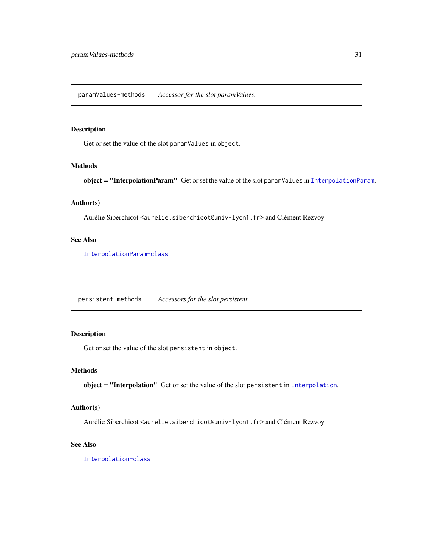<span id="page-30-0"></span>paramValues-methods *Accessor for the slot paramValues.*

# Description

Get or set the value of the slot paramValues in object.

#### Methods

object = "[InterpolationParam](#page-10-2)" Get or set the value of the slot paramValues in InterpolationParam.

# Author(s)

Aurélie Siberchicot <aurelie.siberchicot@univ-lyon1.fr> and Clément Rezvoy

# See Also

[InterpolationParam-class](#page-10-1)

persistent-methods *Accessors for the slot persistent.*

# Description

Get or set the value of the slot persistent in object.

# Methods

object = "Interpolation" Get or set the value of the slot persistent in [Interpolation](#page-8-2).

# Author(s)

Aurélie Siberchicot <aurelie.siberchicot@univ-lyon1.fr> and Clément Rezvoy

#### See Also

[Interpolation-class](#page-8-1)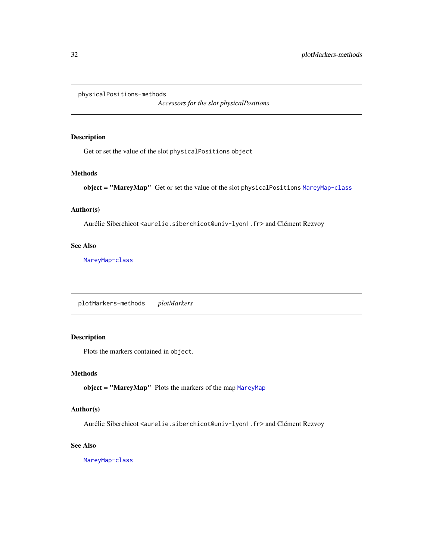<span id="page-31-0"></span>physicalPositions-methods

*Accessors for the slot physicalPositions*

# Description

Get or set the value of the slot physicalPositions object

# Methods

object = "MareyMap" Get or set the value of the slot physicalPositions [MareyMap-class](#page-17-1)

# Author(s)

Aurélie Siberchicot <aurelie.siberchicot@univ-lyon1.fr> and Clément Rezvoy

# See Also

[MareyMap-class](#page-17-1)

plotMarkers-methods *plotMarkers*

# Description

Plots the markers contained in object.

# Methods

object = "MareyMap" Plots the markers of the map [MareyMap](#page-17-2)

# Author(s)

Aurélie Siberchicot <aurelie.siberchicot@univ-lyon1.fr> and Clément Rezvoy

#### See Also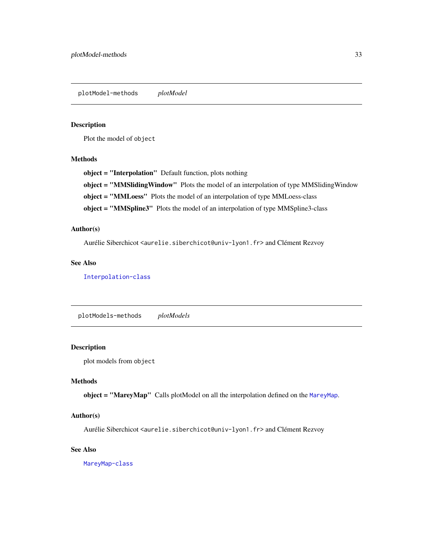<span id="page-32-0"></span>plotModel-methods *plotModel*

# Description

Plot the model of object

# Methods

object = "Interpolation" Default function, plots nothing

object = "MMSlidingWindow" Plots the model of an interpolation of type MMSlidingWindow

object = "MMLoess" Plots the model of an interpolation of type MMLoess-class

object = "MMSpline3" Plots the model of an interpolation of type MMSpline3-class

# Author(s)

Aurélie Siberchicot <aurelie.siberchicot@univ-lyon1.fr> and Clément Rezvoy

#### See Also

# [Interpolation-class](#page-8-1)

plotModels-methods *plotModels*

# Description

plot models from object

# Methods

object = "MareyMap" Calls plotModel on all the interpolation defined on the [MareyMap](#page-17-2).

# Author(s)

Aurélie Siberchicot <aurelie.siberchicot@univ-lyon1.fr> and Clément Rezvoy

#### See Also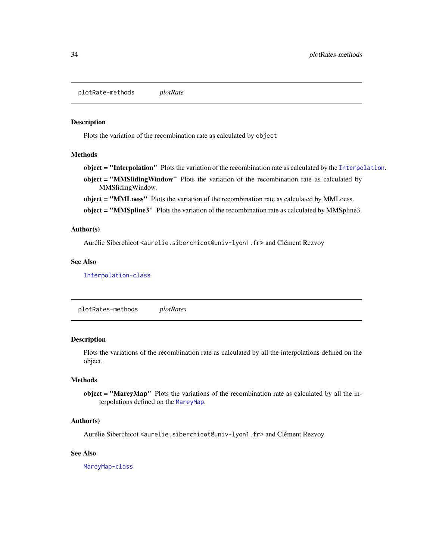<span id="page-33-0"></span>plotRate-methods *plotRate*

#### Description

Plots the variation of the recombination rate as calculated by object

# Methods

object = "Interpolation" Plots the variation of the recombination rate as calculated by the [Interpolation](#page-8-2). object = "MMSliding Window" Plots the variation of the recombination rate as calculated by MMSlidingWindow.

object = "MMLoess" Plots the variation of the recombination rate as calculated by MMLoess.

object = "MMSpline3" Plots the variation of the recombination rate as calculated by MMSpline3.

#### Author(s)

Aurélie Siberchicot <aurelie.siberchicot@univ-lyon1.fr> and Clément Rezvoy

# See Also

[Interpolation-class](#page-8-1)

plotRates-methods *plotRates*

#### **Description**

Plots the variations of the recombination rate as calculated by all the interpolations defined on the object.

#### Methods

object = "MareyMap" Plots the variations of the recombination rate as calculated by all the interpolations defined on the [MareyMap](#page-17-2).

# Author(s)

Aurélie Siberchicot <aurelie.siberchicot@univ-lyon1.fr> and Clément Rezvoy

#### See Also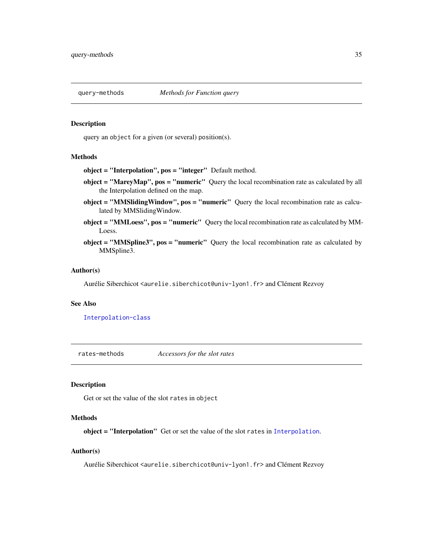<span id="page-34-0"></span>

#### Description

query an object for a given (or several) position(s).

#### Methods

object = "Interpolation", pos = "integer" Default method.

- object = "MareyMap", pos = "numeric" Query the local recombination rate as calculated by all the Interpolation defined on the map.
- object = "MMSlidingWindow", pos = "numeric" Query the local recombination rate as calculated by MMSlidingWindow.
- object = "MMLoess", pos = "numeric" Query the local recombination rate as calculated by MM-Loess.
- object = "MMSpline3", pos = "numeric" Query the local recombination rate as calculated by MMSpline3.

#### Author(s)

Aurélie Siberchicot <aurelie.siberchicot@univ-lyon1.fr> and Clément Rezvoy

#### See Also

[Interpolation-class](#page-8-1)

rates-methods *Accessors for the slot rates*

# Description

Get or set the value of the slot rates in object

#### **Methods**

object = "Interpolation" Get or set the value of the slot rates in [Interpolation](#page-8-2).

# Author(s)

Aurélie Siberchicot <aurelie.siberchicot@univ-lyon1.fr> and Clément Rezvoy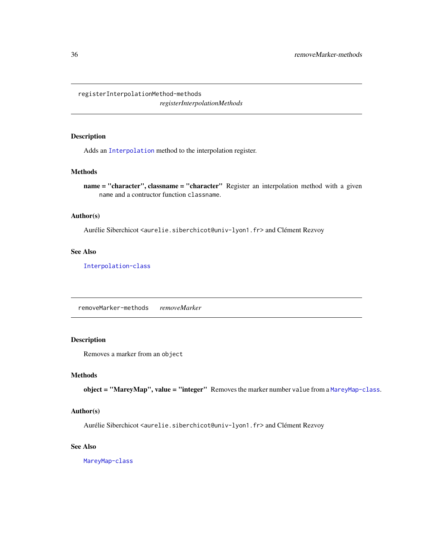<span id="page-35-0"></span>registerInterpolationMethod-methods *registerInterpolationMethods*

# Description

Adds an [Interpolation](#page-8-2) method to the interpolation register.

# Methods

name = "character", classname = "character" Register an interpolation method with a given name and a contructor function classname.

#### Author(s)

Aurélie Siberchicot <aurelie.siberchicot@univ-lyon1.fr> and Clément Rezvoy

# See Also

[Interpolation-class](#page-8-1)

removeMarker-methods *removeMarker*

# Description

Removes a marker from an object

#### Methods

object = "MareyMap", value = "integer" Removes the marker number value from a [MareyMap-class](#page-17-1).

#### Author(s)

Aurélie Siberchicot <aurelie.siberchicot@univ-lyon1.fr> and Clément Rezvoy

# See Also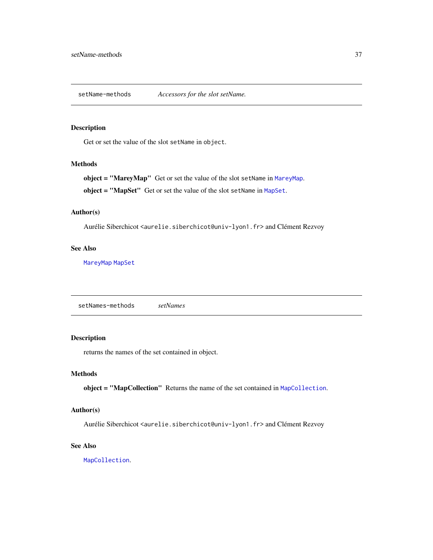<span id="page-36-0"></span>setName-methods *Accessors for the slot setName.*

# Description

Get or set the value of the slot setName in object.

#### Methods

object = "MareyMap" Get or set the value of the slot setName in [MareyMap](#page-17-2).

object = "MapSet" Get or set the value of the slot setName in [MapSet](#page-15-2).

#### Author(s)

Aurélie Siberchicot <aurelie.siberchicot@univ-lyon1.fr> and Clément Rezvoy

# See Also

[MareyMap](#page-17-2) [MapSet](#page-15-2)

setNames-methods *setNames*

# Description

returns the names of the set contained in object.

#### Methods

object = "MapCollection" Returns the name of the set contained in [MapCollection](#page-13-1).

# Author(s)

Aurélie Siberchicot <aurelie.siberchicot@univ-lyon1.fr> and Clément Rezvoy

#### See Also

[MapCollection](#page-13-1).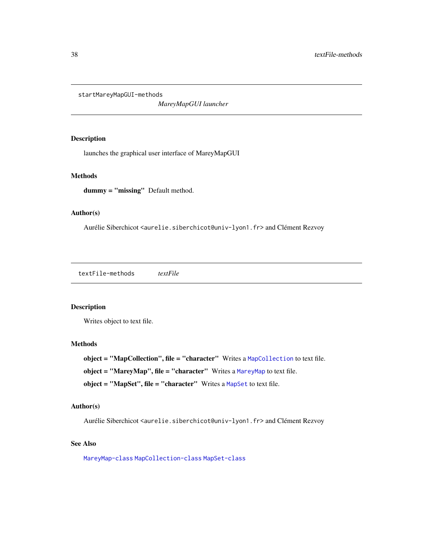<span id="page-37-0"></span>startMareyMapGUI-methods

*MareyMapGUI launcher*

#### Description

launches the graphical user interface of MareyMapGUI

# Methods

dummy = "missing" Default method.

#### Author(s)

Aurélie Siberchicot <aurelie.siberchicot@univ-lyon1.fr> and Clément Rezvoy

textFile-methods *textFile*

# Description

Writes object to text file.

# **Methods**

object = "MapCollection", file = "character" Writes a [MapCollection](#page-13-1) to text file. object = "MareyMap", file = "character" Writes a [MareyMap](#page-17-2) to text file. object = "MapSet", file = "character" Writes a [MapSet](#page-15-2) to text file.

# Author(s)

Aurélie Siberchicot <aurelie.siberchicot@univ-lyon1.fr> and Clément Rezvoy

# See Also

[MareyMap-class](#page-17-1) [MapCollection-class](#page-13-2) [MapSet-class](#page-15-1)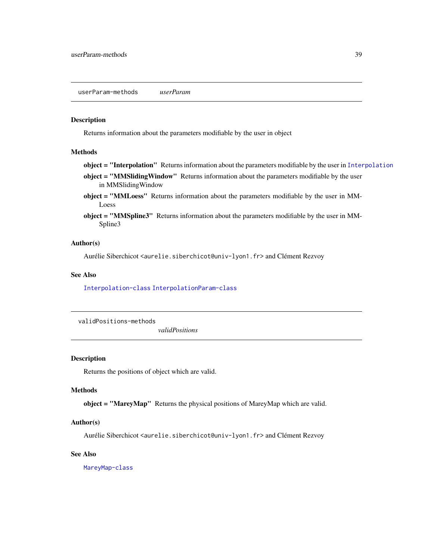# <span id="page-38-0"></span>Description

Returns information about the parameters modifiable by the user in object

#### Methods

- object = "[Interpolation](#page-8-2)" Returns information about the parameters modifiable by the user in Interpolation
- object = "MMSlidingWindow" Returns information about the parameters modifiable by the user in MMSlidingWindow
- object = "MMLoess" Returns information about the parameters modifiable by the user in MM-Loess
- object = "MMSpline3" Returns information about the parameters modifiable by the user in MM-Spline3

#### Author(s)

Aurélie Siberchicot <aurelie.siberchicot@univ-lyon1.fr> and Clément Rezvoy

# See Also

[Interpolation-class](#page-8-1) [InterpolationParam-class](#page-10-1)

validPositions-methods

*validPositions*

## Description

Returns the positions of object which are valid.

#### **Methods**

object = "MareyMap" Returns the physical positions of MareyMap which are valid.

# Author(s)

Aurélie Siberchicot <aurelie.siberchicot@univ-lyon1.fr> and Clément Rezvoy

# See Also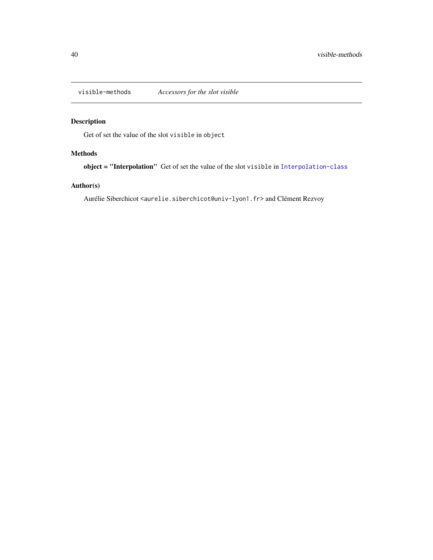<span id="page-39-0"></span>

# Description

Get of set the value of the slot visible in object

# Methods

object = "Interpolation" Get of set the value of the slot visible in [Interpolation-class](#page-8-1)

# Author(s)

Aurélie Siberchicot <aurelie.siberchicot@univ-lyon1.fr> and Clément Rezvoy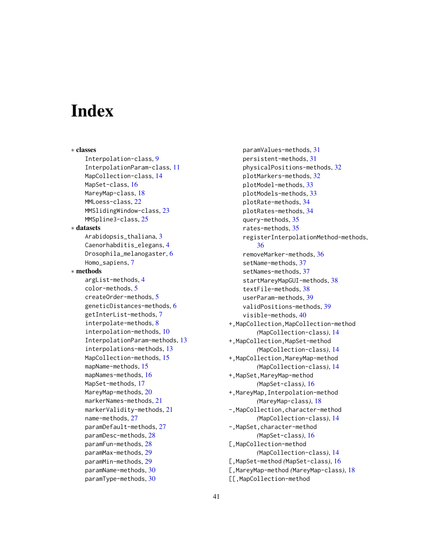# <span id="page-40-0"></span>**Index**

∗ classes Interpolation-class, [9](#page-8-0) InterpolationParam-class, [11](#page-10-0) MapCollection-class, [14](#page-13-0) MapSet-class, [16](#page-15-0) MareyMap-class, [18](#page-17-0) MMLoess-class, [22](#page-21-0) MMSlidingWindow-class, [23](#page-22-0) MMSpline3-class, [25](#page-24-0) ∗ datasets Arabidopsis\_thaliana, [3](#page-2-0) Caenorhabditis\_elegans, [4](#page-3-0) Drosophila\_melanogaster, [6](#page-5-0) Homo\_sapiens, [7](#page-6-0) ∗ methods argList-methods, [4](#page-3-0) color-methods, [5](#page-4-0) createOrder-methods, [5](#page-4-0) geneticDistances-methods, [6](#page-5-0) getInterList-methods, [7](#page-6-0) interpolate-methods, [8](#page-7-0) interpolation-methods, [10](#page-9-0) InterpolationParam-methods, [13](#page-12-0) interpolations-methods, [13](#page-12-0) MapCollection-methods, [15](#page-14-0) mapName-methods, [15](#page-14-0) mapNames-methods, [16](#page-15-0) MapSet-methods, [17](#page-16-0) MareyMap-methods, [20](#page-19-0) markerNames-methods, [21](#page-20-0) markerValidity-methods, [21](#page-20-0) name-methods, [27](#page-26-0) paramDefault-methods, [27](#page-26-0) paramDesc-methods, [28](#page-27-0) paramFun-methods, [28](#page-27-0) paramMax-methods, [29](#page-28-0) paramMin-methods, [29](#page-28-0) paramName-methods, [30](#page-29-0) paramType-methods, [30](#page-29-0)

paramValues-methods, [31](#page-30-0) persistent-methods, [31](#page-30-0) physicalPositions-methods, [32](#page-31-0) plotMarkers-methods, [32](#page-31-0) plotModel-methods, [33](#page-32-0) plotModels-methods, [33](#page-32-0) plotRate-methods, [34](#page-33-0) plotRates-methods, [34](#page-33-0) query-methods, [35](#page-34-0) rates-methods, [35](#page-34-0) registerInterpolationMethod-methods, [36](#page-35-0) removeMarker-methods, [36](#page-35-0) setName-methods, [37](#page-36-0) setNames-methods, [37](#page-36-0) startMareyMapGUI-methods, [38](#page-37-0) textFile-methods, [38](#page-37-0) userParam-methods, [39](#page-38-0) validPositions-methods, [39](#page-38-0) visible-methods, [40](#page-39-0) +,MapCollection,MapCollection-method *(*MapCollection-class*)*, [14](#page-13-0) +,MapCollection,MapSet-method *(*MapCollection-class*)*, [14](#page-13-0) +,MapCollection,MareyMap-method *(*MapCollection-class*)*, [14](#page-13-0) +,MapSet,MareyMap-method *(*MapSet-class*)*, [16](#page-15-0) +,MareyMap,Interpolation-method *(*MareyMap-class*)*, [18](#page-17-0) -,MapCollection,character-method *(*MapCollection-class*)*, [14](#page-13-0) -,MapSet,character-method *(*MapSet-class*)*, [16](#page-15-0) [,MapCollection-method *(*MapCollection-class*)*, [14](#page-13-0) [,MapSet-method *(*MapSet-class*)*, [16](#page-15-0) [,MareyMap-method *(*MareyMap-class*)*, [18](#page-17-0) [[,MapCollection-method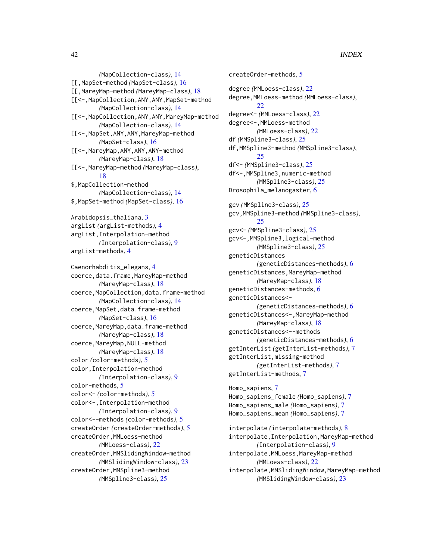*(*MapCollection-class*)*, [14](#page-13-0) [[,MapSet-method *(*MapSet-class*)*, [16](#page-15-0) [[,MareyMap-method *(*MareyMap-class*)*, [18](#page-17-0) [[<-,MapCollection,ANY,ANY,MapSet-method *(*MapCollection-class*)*, [14](#page-13-0) [[<-, MapCollection, ANY, ANY, MareyMap-method *(*MapCollection-class*)*, [14](#page-13-0) [[<-,MapSet,ANY,ANY,MareyMap-method *(*MapSet-class*)*, [16](#page-15-0) [[<-,MareyMap,ANY,ANY,ANY-method *(*MareyMap-class*)*, [18](#page-17-0) [[<-,MareyMap-method *(*MareyMap-class*)*, [18](#page-17-0) \$,MapCollection-method *(*MapCollection-class*)*, [14](#page-13-0) \$,MapSet-method *(*MapSet-class*)*, [16](#page-15-0) Arabidopsis\_thaliana, [3](#page-2-0) argList *(*argList-methods*)*, [4](#page-3-0) argList,Interpolation-method *(*Interpolation-class*)*, [9](#page-8-0) argList-methods, [4](#page-3-0) Caenorhabditis\_elegans, [4](#page-3-0) coerce,data.frame,MareyMap-method *(*MareyMap-class*)*, [18](#page-17-0) coerce,MapCollection,data.frame-method *(*MapCollection-class*)*, [14](#page-13-0) coerce,MapSet,data.frame-method *(*MapSet-class*)*, [16](#page-15-0) coerce, MareyMap, data.frame-method *(*MareyMap-class*)*, [18](#page-17-0) coerce,MareyMap,NULL-method *(*MareyMap-class*)*, [18](#page-17-0) color *(*color-methods*)*, [5](#page-4-0) color,Interpolation-method *(*Interpolation-class*)*, [9](#page-8-0) color-methods, [5](#page-4-0) color<- *(*color-methods*)*, [5](#page-4-0) color<-,Interpolation-method *(*Interpolation-class*)*, [9](#page-8-0) color<--methods *(*color-methods*)*, [5](#page-4-0) createOrder *(*createOrder-methods*)*, [5](#page-4-0) createOrder,MMLoess-method *(*MMLoess-class*)*, [22](#page-21-0) createOrder,MMSlidingWindow-method *(*MMSlidingWindow-class*)*, [23](#page-22-0) createOrder,MMSpline3-method *(*MMSpline3-class*)*, [25](#page-24-0)

```
createOrder-methods, 5
degree (MMLoess-class), 22
degree,MMLoess-method (MMLoess-class),
        22
degree<- (MMLoess-class), 22
degree<-,MMLoess-method
        (MMLoess-class), 22
df (MMSpline3-class), 25
df,MMSpline3-method (MMSpline3-class),
        25
df<- (MMSpline3-class), 25
df<-,MMSpline3,numeric-method
        (MMSpline3-class), 25
Drosophila_melanogaster, 6
gcv (MMSpline3-class), 25
gcv,MMSpline3-method (MMSpline3-class),
        25
gcv<- (MMSpline3-class), 25
gcv<-,MMSpline3,logical-method
        (MMSpline3-class), 25
geneticDistances
        (geneticDistances-methods), 6
geneticDistances,MareyMap-method
        (MareyMap-class), 18
geneticDistances-methods, 6
geneticDistances<-
        (geneticDistances-methods), 6
geneticDistances<-,MareyMap-method
        (MareyMap-class), 18
geneticDistances<--methods
        (geneticDistances-methods), 6
getInterList (getInterList-methods), 7
getInterList,missing-method
        (getInterList-methods), 7
getInterList-methods, 7
Homo_sapiens, 7
Homo_sapiens_female (Homo_sapiens), 7
Homo_sapiens_male (Homo_sapiens), 7
Homo_sapiens_mean (Homo_sapiens), 7
interpolate (interpolate-methods), 8
```
interpolate,Interpolation,MareyMap-method *(*Interpolation-class*)*, [9](#page-8-0) interpolate,MMLoess,MareyMap-method *(*MMLoess-class*)*, [22](#page-21-0) interpolate,MMSlidingWindow,MareyMap-method *(*MMSlidingWindow-class*)*, [23](#page-22-0)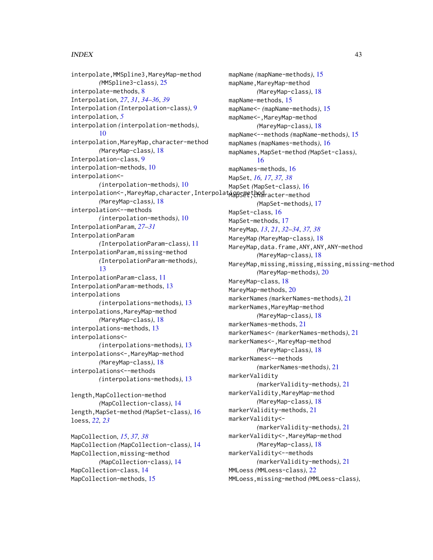#### $I<sub>N</sub>$  and  $I<sub>3</sub>$  and  $I<sub>43</sub>$

interpolate,MMSpline3,MareyMap-method *(*MMSpline3-class*)*, [25](#page-24-0) interpolate-methods, [8](#page-7-0) Interpolation, *[27](#page-26-0)*, *[31](#page-30-0)*, *[34–](#page-33-0)[36](#page-35-0)*, *[39](#page-38-0)* Interpolation *(*Interpolation-class*)*, [9](#page-8-0) interpolation, *[5](#page-4-0)* interpolation *(*interpolation-methods*)*, [10](#page-9-0) interpolation, MareyMap, character-method *(*MareyMap-class*)*, [18](#page-17-0) Interpolation-class, [9](#page-8-0) interpolation-methods, [10](#page-9-0) interpolation<- *(*interpolation-methods*)*, [10](#page-9-0) interpolation<-,MareyMap,character,Interpolat $\mathsf{u}$ a $\mathsf{ggg}$ e $\mathsf{t}$ b<code>e</code>aracter-method *(*MareyMap-class*)*, [18](#page-17-0) interpolation<--methods *(*interpolation-methods*)*, [10](#page-9-0) InterpolationParam, *[27–](#page-26-0)[31](#page-30-0)* InterpolationParam *(*InterpolationParam-class*)*, [11](#page-10-0) InterpolationParam,missing-method *(*InterpolationParam-methods*)*, [13](#page-12-0) InterpolationParam-class, [11](#page-10-0) InterpolationParam-methods, [13](#page-12-0) interpolations *(*interpolations-methods*)*, [13](#page-12-0) interpolations,MareyMap-method *(*MareyMap-class*)*, [18](#page-17-0) interpolations-methods, [13](#page-12-0) interpolations<- *(*interpolations-methods*)*, [13](#page-12-0) interpolations<-,MareyMap-method *(*MareyMap-class*)*, [18](#page-17-0) interpolations<--methods *(*interpolations-methods*)*, [13](#page-12-0)

length,MapCollection-method *(*MapCollection-class*)*, [14](#page-13-0) length,MapSet-method *(*MapSet-class*)*, [16](#page-15-0) loess, *[22,](#page-21-0) [23](#page-22-0)*

MapCollection, *[15](#page-14-0)*, *[37,](#page-36-0) [38](#page-37-0)* MapCollection *(*MapCollection-class*)*, [14](#page-13-0) MapCollection,missing-method *(*MapCollection-class*)*, [14](#page-13-0) MapCollection-class, [14](#page-13-0) MapCollection-methods, [15](#page-14-0)

mapName *(*mapName-methods*)*, [15](#page-14-0) mapName, MareyMap-method *(*MareyMap-class*)*, [18](#page-17-0) mapName-methods, [15](#page-14-0) mapName<- *(*mapName-methods*)*, [15](#page-14-0) mapName<-,MareyMap-method *(*MareyMap-class*)*, [18](#page-17-0) mapName<--methods *(*mapName-methods*)*, [15](#page-14-0) mapNames *(*mapNames-methods*)*, [16](#page-15-0) mapNames,MapSet-method *(*MapSet-class*)*, [16](#page-15-0) mapNames-methods, [16](#page-15-0) MapSet, *[16,](#page-15-0) [17](#page-16-0)*, *[37,](#page-36-0) [38](#page-37-0)* MapSet *(*MapSet-class*)*, [16](#page-15-0) *(*MapSet-methods*)*, [17](#page-16-0) MapSet-class, [16](#page-15-0) MapSet-methods, [17](#page-16-0) MareyMap, *[13](#page-12-0)*, *[21](#page-20-0)*, *[32](#page-31-0)[–34](#page-33-0)*, *[37,](#page-36-0) [38](#page-37-0)* MareyMap *(*MareyMap-class*)*, [18](#page-17-0) MareyMap,data.frame,ANY,ANY,ANY-method *(*MareyMap-class*)*, [18](#page-17-0) MareyMap, missing, missing, missing, missing-method *(*MareyMap-methods*)*, [20](#page-19-0) MareyMap-class, [18](#page-17-0) MareyMap-methods, [20](#page-19-0) markerNames *(*markerNames-methods*)*, [21](#page-20-0) markerNames, MareyMap-method *(*MareyMap-class*)*, [18](#page-17-0) markerNames-methods, [21](#page-20-0) markerNames<- *(*markerNames-methods*)*, [21](#page-20-0) markerNames<-,MareyMap-method *(*MareyMap-class*)*, [18](#page-17-0) markerNames<--methods *(*markerNames-methods*)*, [21](#page-20-0) markerValidity *(*markerValidity-methods*)*, [21](#page-20-0) markerValidity,MareyMap-method *(*MareyMap-class*)*, [18](#page-17-0) markerValidity-methods, [21](#page-20-0) markerValidity<- *(*markerValidity-methods*)*, [21](#page-20-0) markerValidity<-,MareyMap-method *(*MareyMap-class*)*, [18](#page-17-0) markerValidity<--methods *(*markerValidity-methods*)*, [21](#page-20-0) MMLoess *(*MMLoess-class*)*, [22](#page-21-0) MMLoess,missing-method *(*MMLoess-class*)*,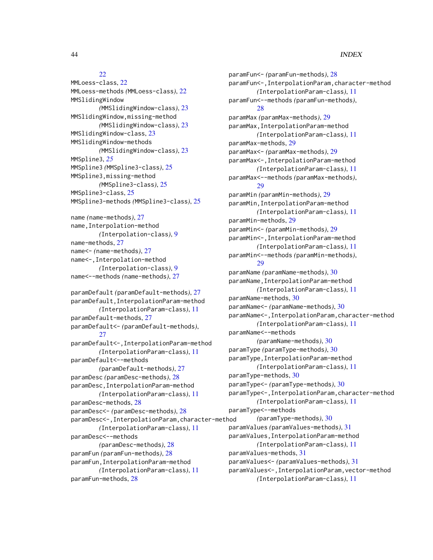#### 44 INDEX

# [22](#page-21-0)

MMLoess-class, [22](#page-21-0) MMLoess-methods *(*MMLoess-class*)*, [22](#page-21-0) MMSlidingWindow *(*MMSlidingWindow-class*)*, [23](#page-22-0) MMSlidingWindow,missing-method *(*MMSlidingWindow-class*)*, [23](#page-22-0) MMSlidingWindow-class, [23](#page-22-0) MMSlidingWindow-methods *(*MMSlidingWindow-class*)*, [23](#page-22-0) MMSpline3, *[25](#page-24-0)* MMSpline3 *(*MMSpline3-class*)*, [25](#page-24-0) MMSpline3,missing-method *(*MMSpline3-class*)*, [25](#page-24-0) MMSpline3-class, [25](#page-24-0) MMSpline3-methods *(*MMSpline3-class*)*, [25](#page-24-0) name *(*name-methods*)*, [27](#page-26-0) name,Interpolation-method *(*Interpolation-class*)*, [9](#page-8-0) name-methods, [27](#page-26-0) name<- *(*name-methods*)*, [27](#page-26-0) name<-,Interpolation-method *(*Interpolation-class*)*, [9](#page-8-0) name<--methods *(*name-methods*)*, [27](#page-26-0) paramDefault *(*paramDefault-methods*)*, [27](#page-26-0) paramDefault,InterpolationParam-method *(*InterpolationParam-class*)*, [11](#page-10-0) paramDefault-methods, [27](#page-26-0) paramDefault<- *(*paramDefault-methods*)*, [27](#page-26-0) paramDefault<-,InterpolationParam-method *(*InterpolationParam-class*)*, [11](#page-10-0) paramDefault<--methods *(*paramDefault-methods*)*, [27](#page-26-0) paramDesc *(*paramDesc-methods*)*, [28](#page-27-0) paramDesc,InterpolationParam-method *(*InterpolationParam-class*)*, [11](#page-10-0) paramDesc-methods, [28](#page-27-0) paramDesc<- *(*paramDesc-methods*)*, [28](#page-27-0) paramDesc<-,InterpolationParam,character-method *(*InterpolationParam-class*)*, [11](#page-10-0) paramDesc<--methods *(*paramDesc-methods*)*, [28](#page-27-0) paramFun *(*paramFun-methods*)*, [28](#page-27-0) paramFun,InterpolationParam-method *(*InterpolationParam-class*)*, [11](#page-10-0) paramFun-methods, [28](#page-27-0)

paramFun<- *(*paramFun-methods*)*, [28](#page-27-0) paramFun<-,InterpolationParam,character-method *(*InterpolationParam-class*)*, [11](#page-10-0) paramFun<--methods *(*paramFun-methods*)*, [28](#page-27-0) paramMax *(*paramMax-methods*)*, [29](#page-28-0) paramMax,InterpolationParam-method *(*InterpolationParam-class*)*, [11](#page-10-0) paramMax-methods, [29](#page-28-0) paramMax<- *(*paramMax-methods*)*, [29](#page-28-0) paramMax<-,InterpolationParam-method *(*InterpolationParam-class*)*, [11](#page-10-0) paramMax<--methods *(*paramMax-methods*)*, [29](#page-28-0) paramMin *(*paramMin-methods*)*, [29](#page-28-0) paramMin,InterpolationParam-method *(*InterpolationParam-class*)*, [11](#page-10-0) paramMin-methods, [29](#page-28-0) paramMin<- *(*paramMin-methods*)*, [29](#page-28-0) paramMin<-,InterpolationParam-method *(*InterpolationParam-class*)*, [11](#page-10-0) paramMin<--methods *(*paramMin-methods*)*, [29](#page-28-0) paramName *(*paramName-methods*)*, [30](#page-29-0) paramName,InterpolationParam-method *(*InterpolationParam-class*)*, [11](#page-10-0) paramName-methods, [30](#page-29-0) paramName<- *(*paramName-methods*)*, [30](#page-29-0) paramName<-,InterpolationParam,character-method *(*InterpolationParam-class*)*, [11](#page-10-0) paramName<--methods *(*paramName-methods*)*, [30](#page-29-0) paramType *(*paramType-methods*)*, [30](#page-29-0) paramType,InterpolationParam-method *(*InterpolationParam-class*)*, [11](#page-10-0) paramType-methods, [30](#page-29-0) paramType<- *(*paramType-methods*)*, [30](#page-29-0) paramType<-,InterpolationParam,character-method *(*InterpolationParam-class*)*, [11](#page-10-0) paramType<--methods *(*paramType-methods*)*, [30](#page-29-0) paramValues *(*paramValues-methods*)*, [31](#page-30-0) paramValues,InterpolationParam-method *(*InterpolationParam-class*)*, [11](#page-10-0) paramValues-methods, [31](#page-30-0) paramValues<- *(*paramValues-methods*)*, [31](#page-30-0) paramValues<-,InterpolationParam,vector-method *(*InterpolationParam-class*)*, [11](#page-10-0)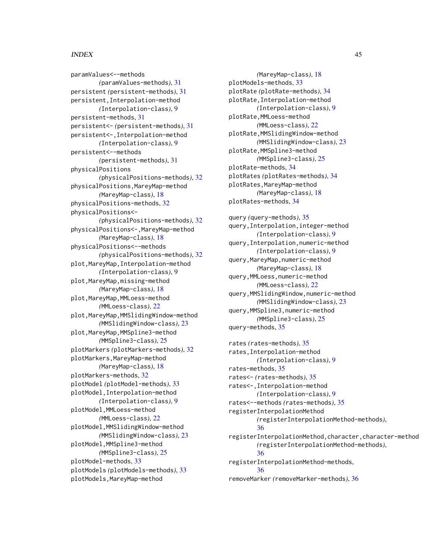#### INDEX 45

paramValues<--methods *(*paramValues-methods*)*, [31](#page-30-0) persistent *(*persistent-methods*)*, [31](#page-30-0) persistent,Interpolation-method *(*Interpolation-class*)*, [9](#page-8-0) persistent-methods, [31](#page-30-0) persistent<- *(*persistent-methods*)*, [31](#page-30-0) persistent<-,Interpolation-method *(*Interpolation-class*)*, [9](#page-8-0) persistent<--methods *(*persistent-methods*)*, [31](#page-30-0) physicalPositions *(*physicalPositions-methods*)*, [32](#page-31-0) physicalPositions,MareyMap-method *(*MareyMap-class*)*, [18](#page-17-0) physicalPositions-methods, [32](#page-31-0) physicalPositions<- *(*physicalPositions-methods*)*, [32](#page-31-0) physicalPositions<-,MareyMap-method *(*MareyMap-class*)*, [18](#page-17-0) physicalPositions<--methods *(*physicalPositions-methods*)*, [32](#page-31-0) plot,MareyMap,Interpolation-method *(*Interpolation-class*)*, [9](#page-8-0) plot, MareyMap, missing-method *(*MareyMap-class*)*, [18](#page-17-0) plot, MareyMap, MMLoess-method *(*MMLoess-class*)*, [22](#page-21-0) plot,MareyMap,MMSlidingWindow-method *(*MMSlidingWindow-class*)*, [23](#page-22-0) plot, MareyMap, MMSpline3-method *(*MMSpline3-class*)*, [25](#page-24-0) plotMarkers *(*plotMarkers-methods*)*, [32](#page-31-0) plotMarkers,MareyMap-method *(*MareyMap-class*)*, [18](#page-17-0) plotMarkers-methods, [32](#page-31-0) plotModel *(*plotModel-methods*)*, [33](#page-32-0) plotModel,Interpolation-method *(*Interpolation-class*)*, [9](#page-8-0) plotModel,MMLoess-method *(*MMLoess-class*)*, [22](#page-21-0) plotModel,MMSlidingWindow-method *(*MMSlidingWindow-class*)*, [23](#page-22-0) plotModel,MMSpline3-method *(*MMSpline3-class*)*, [25](#page-24-0) plotModel-methods, [33](#page-32-0) plotModels *(*plotModels-methods*)*, [33](#page-32-0) plotModels,MareyMap-method

*(*MareyMap-class*)*, [18](#page-17-0) plotModels-methods, [33](#page-32-0) plotRate *(*plotRate-methods*)*, [34](#page-33-0) plotRate,Interpolation-method *(*Interpolation-class*)*, [9](#page-8-0) plotRate,MMLoess-method *(*MMLoess-class*)*, [22](#page-21-0) plotRate,MMSlidingWindow-method *(*MMSlidingWindow-class*)*, [23](#page-22-0) plotRate,MMSpline3-method *(*MMSpline3-class*)*, [25](#page-24-0) plotRate-methods, [34](#page-33-0) plotRates *(*plotRates-methods*)*, [34](#page-33-0) plotRates,MareyMap-method *(*MareyMap-class*)*, [18](#page-17-0) plotRates-methods, [34](#page-33-0)

query *(*query-methods*)*, [35](#page-34-0) query,Interpolation,integer-method *(*Interpolation-class*)*, [9](#page-8-0) query,Interpolation,numeric-method *(*Interpolation-class*)*, [9](#page-8-0) query,MareyMap,numeric-method *(*MareyMap-class*)*, [18](#page-17-0) query,MMLoess,numeric-method *(*MMLoess-class*)*, [22](#page-21-0) query,MMSlidingWindow,numeric-method *(*MMSlidingWindow-class*)*, [23](#page-22-0) query,MMSpline3,numeric-method *(*MMSpline3-class*)*, [25](#page-24-0) query-methods, [35](#page-34-0)

rates *(*rates-methods*)*, [35](#page-34-0) rates,Interpolation-method *(*Interpolation-class*)*, [9](#page-8-0) rates-methods, [35](#page-34-0) rates<- *(*rates-methods*)*, [35](#page-34-0) rates<-,Interpolation-method *(*Interpolation-class*)*, [9](#page-8-0) rates<--methods *(*rates-methods*)*, [35](#page-34-0) registerInterpolationMethod *(*registerInterpolationMethod-methods*)*, [36](#page-35-0) registerInterpolationMethod,character,character-method *(*registerInterpolationMethod-methods*)*, [36](#page-35-0) registerInterpolationMethod-methods, [36](#page-35-0) removeMarker *(*removeMarker-methods*)*, [36](#page-35-0)